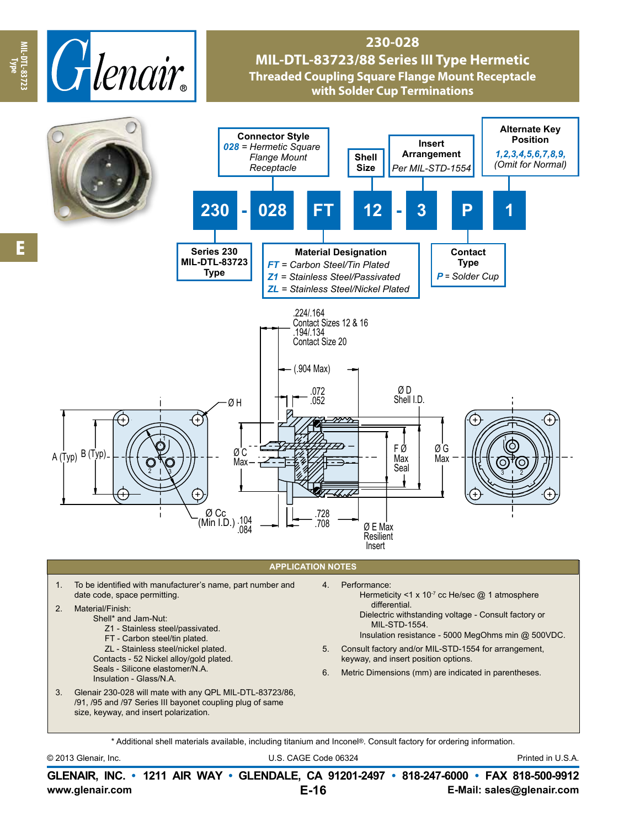

## **230-028 MIL-DTL-83723/88 Series III Type Hermetic Threaded Coupling Square Flange Mount Receptacle with Solder Cup Terminations**



© 2013 Glenair, Inc. U.S. CAGE Code 06324 Printed in U.S.A.

**www.glenair.com E-Mail: sales@glenair.com GLENAIR, INC. • 1211 AIR WAY • GLENDALE, CA 91201-2497 • 818-247-6000 • FAX 818-500-9912 E-16**

**Type**